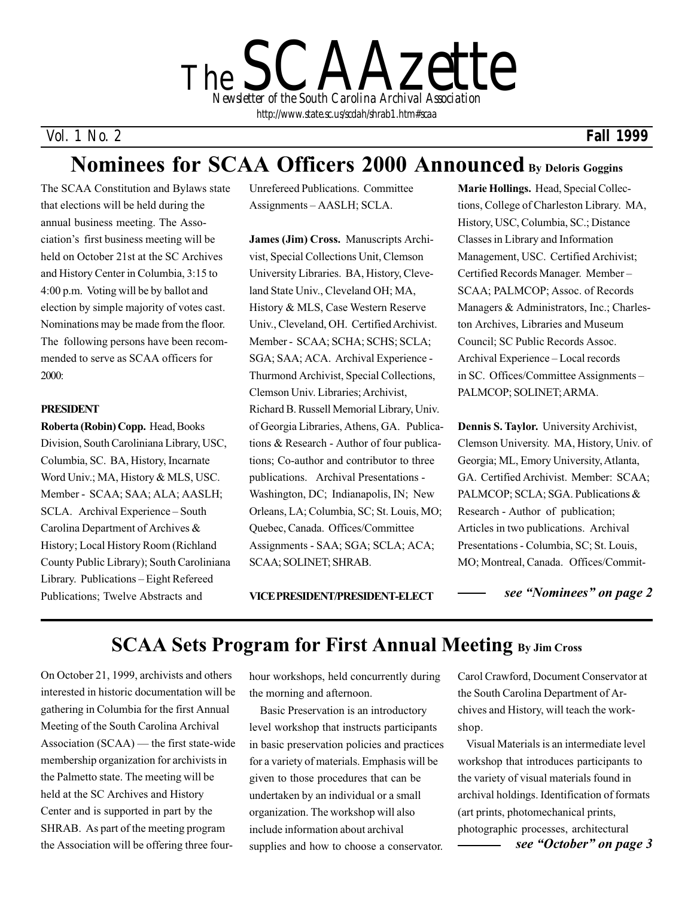*The SCAAzette Newsletter of the South Carolina Archival Association http://www.state.sc.us/scdah/shrab1.htm#scaa*

### *Vol. 1 No. 2*

### *Fall 1999*

# **Nominees for SCAA Officers 2000 Announced By Deloris Goggins**

The SCAA Constitution and Bylaws state that elections will be held during the annual business meeting. The Association's first business meeting will be held on October 21st at the SC Archives and History Center in Columbia, 3:15 to 4:00 p.m. Voting will be by ballot and election by simple majority of votes cast. Nominations may be made from the floor. The following persons have been recommended to serve as SCAA officers for 2000:

#### **PRESIDENT**

**Roberta (Robin) Copp.** Head, Books Division, South Caroliniana Library, USC, Columbia, SC. BA, History, Incarnate Word Univ.; MA, History & MLS, USC. Member - SCAA; SAA; ALA; AASLH; SCLA. Archival Experience – South Carolina Department of Archives & History; Local History Room (Richland County Public Library); South Caroliniana Library. Publications – Eight Refereed Publications; Twelve Abstracts and

Unrefereed Publications. Committee Assignments – AASLH; SCLA.

**James (Jim) Cross.** Manuscripts Archivist, Special Collections Unit, Clemson University Libraries. BA, History, Cleveland State Univ., Cleveland OH; MA, History & MLS, Case Western Reserve Univ., Cleveland, OH. Certified Archivist. Member - SCAA; SCHA; SCHS; SCLA; SGA; SAA; ACA. Archival Experience - Thurmond Archivist, Special Collections, Clemson Univ. Libraries; Archivist, Richard B. Russell Memorial Library, Univ. of Georgia Libraries, Athens, GA. Publications & Research - Author of four publications; Co-author and contributor to three publications. Archival Presentations - Washington, DC; Indianapolis, IN; New Orleans, LA; Columbia, SC; St. Louis, MO; Quebec, Canada. Offices/Committee Assignments - SAA; SGA; SCLA; ACA; SCAA; SOLINET; SHRAB.

**Marie Hollings.** Head, Special Collections, College of Charleston Library. MA, History, USC, Columbia, SC.; Distance Classes in Library and Information Management, USC. Certified Archivist; Certified Records Manager. Member – SCAA; PALMCOP; Assoc. of Records Managers & Administrators, Inc.; Charleston Archives, Libraries and Museum Council; SC Public Records Assoc. Archival Experience – Local records in SC. Offices/Committee Assignments – PALMCOP; SOLINET; ARMA.

**Dennis S. Taylor.** University Archivist, Clemson University. MA, History, Univ. of Georgia; ML, Emory University, Atlanta, GA. Certified Archivist. Member: SCAA; PALMCOP; SCLA; SGA. Publications & Research - Author of publication; Articles in two publications. Archival Presentations - Columbia, SC; St. Louis, MO; Montreal, Canada. Offices/Commit-

**VICE PRESIDENT/PRESIDENT-ELECT**

*see "Nominees" on page 2*

## **SCAA Sets Program for First Annual Meeting By Jim Cross**

On October 21, 1999, archivists and others interested in historic documentation will be gathering in Columbia for the first Annual Meeting of the South Carolina Archival Association (SCAA) — the first state-wide membership organization for archivists in the Palmetto state. The meeting will be held at the SC Archives and History Center and is supported in part by the SHRAB. As part of the meeting program the Association will be offering three four-

hour workshops, held concurrently during the morning and afternoon.

 Basic Preservation is an introductory level workshop that instructs participants in basic preservation policies and practices for a variety of materials. Emphasis will be given to those procedures that can be undertaken by an individual or a small organization. The workshop will also include information about archival supplies and how to choose a conservator.

Carol Crawford, Document Conservator at the South Carolina Department of Archives and History, will teach the workshop.

 Visual Materials is an intermediate level workshop that introduces participants to the variety of visual materials found in archival holdings. Identification of formats (art prints, photomechanical prints, photographic processes, architectural *see "October" on page 3*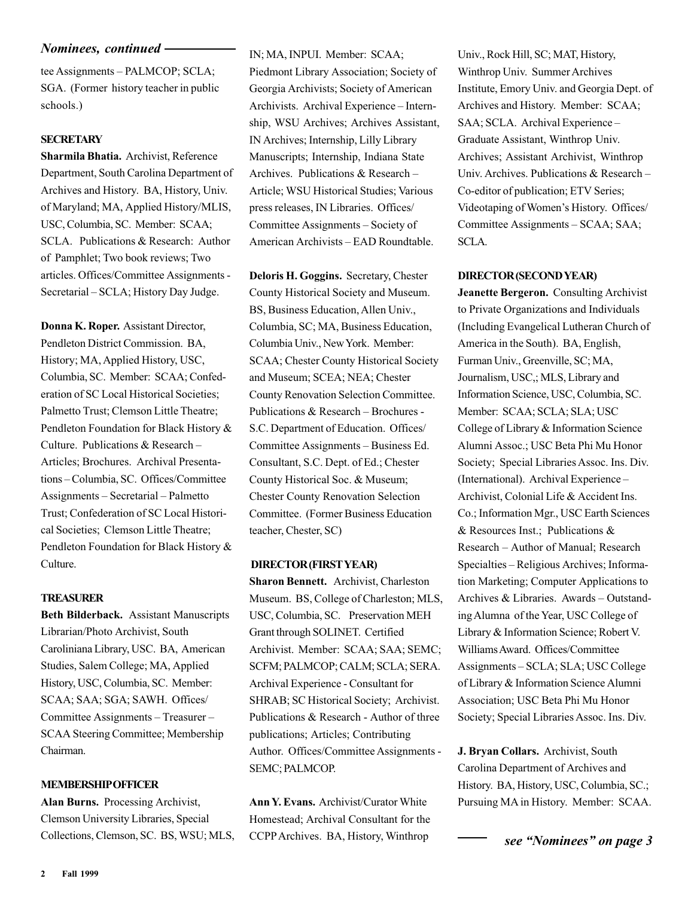#### *Nominees, continued*

tee Assignments – PALMCOP; SCLA; SGA. (Former history teacher in public schools.)

### **SECRETARY**

**Sharmila Bhatia.** Archivist, Reference Department, South Carolina Department of Archives and History. BA, History, Univ. of Maryland; MA, Applied History/MLIS, USC, Columbia, SC. Member: SCAA; SCLA. Publications & Research: Author of Pamphlet; Two book reviews; Two articles. Offices/Committee Assignments - Secretarial – SCLA; History Day Judge.

**Donna K. Roper.** Assistant Director, Pendleton District Commission. BA, History; MA, Applied History, USC, Columbia, SC. Member: SCAA; Confederation of SC Local Historical Societies; Palmetto Trust; Clemson Little Theatre; Pendleton Foundation for Black History & Culture. Publications & Research – Articles; Brochures. Archival Presentations – Columbia, SC. Offices/Committee Assignments – Secretarial – Palmetto Trust; Confederation of SC Local Historical Societies; Clemson Little Theatre; Pendleton Foundation for Black History & Culture.

### **TREASURER**

**Beth Bilderback.** Assistant Manuscripts Librarian/Photo Archivist, South Caroliniana Library, USC. BA, American Studies, Salem College; MA, Applied History, USC, Columbia, SC. Member: SCAA; SAA; SGA; SAWH. Offices/ Committee Assignments – Treasurer – SCAA Steering Committee; Membership Chairman.

#### **MEMBERSHIP OFFICER**

**Alan Burns.** Processing Archivist, Clemson University Libraries, Special Collections, Clemson, SC. BS, WSU; MLS, IN; MA, INPUI. Member: SCAA; Piedmont Library Association; Society of Georgia Archivists; Society of American Archivists. Archival Experience – Internship, WSU Archives; Archives Assistant, IN Archives; Internship, Lilly Library Manuscripts; Internship, Indiana State Archives. Publications & Research – Article; WSU Historical Studies; Various press releases, IN Libraries. Offices/ Committee Assignments – Society of American Archivists – EAD Roundtable.

**Deloris H. Goggins.** Secretary, Chester County Historical Society and Museum. BS, Business Education, Allen Univ., Columbia, SC; MA, Business Education, Columbia Univ., New York. Member: SCAA; Chester County Historical Society and Museum; SCEA; NEA; Chester County Renovation Selection Committee. Publications & Research – Brochures - S.C. Department of Education. Offices/ Committee Assignments – Business Ed. Consultant, S.C. Dept. of Ed.; Chester County Historical Soc. & Museum; Chester County Renovation Selection Committee. (Former Business Education teacher, Chester, SC)

#### **DIRECTOR (FIRST YEAR)**

**Sharon Bennett.** Archivist, Charleston Museum. BS, College of Charleston; MLS, USC, Columbia, SC. Preservation MEH Grant through SOLINET. Certified Archivist. Member: SCAA; SAA; SEMC; SCFM; PALMCOP; CALM; SCLA; SERA. Archival Experience - Consultant for SHRAB; SC Historical Society; Archivist. Publications & Research - Author of three publications; Articles; Contributing Author. Offices/Committee Assignments - SEMC; PALMCOP.

**Ann Y. Evans.** Archivist/Curator White Homestead; Archival Consultant for the CCPP Archives. BA, History, Winthrop

Univ., Rock Hill, SC; MAT, History, Winthrop Univ. Summer Archives Institute, Emory Univ. and Georgia Dept. of Archives and History. Member: SCAA; SAA; SCLA. Archival Experience – Graduate Assistant, Winthrop Univ. Archives; Assistant Archivist, Winthrop Univ. Archives. Publications & Research – Co-editor of publication; ETV Series; Videotaping of Women's History. Offices/ Committee Assignments – SCAA; SAA; SCLA.

#### **DIRECTOR (SECOND YEAR)**

**Jeanette Bergeron.** Consulting Archivist to Private Organizations and Individuals (Including Evangelical Lutheran Church of America in the South). BA, English, Furman Univ., Greenville, SC; MA, Journalism, USC,; MLS, Library and Information Science, USC, Columbia, SC. Member: SCAA; SCLA; SLA; USC College of Library & Information Science Alumni Assoc.; USC Beta Phi Mu Honor Society; Special Libraries Assoc. Ins. Div. (International). Archival Experience – Archivist, Colonial Life & Accident Ins. Co.; Information Mgr., USC Earth Sciences & Resources Inst.; Publications & Research – Author of Manual; Research Specialties – Religious Archives; Information Marketing; Computer Applications to Archives & Libraries. Awards – Outstanding Alumna of the Year, USC College of Library & Information Science; Robert V. Williams Award. Offices/Committee Assignments – SCLA; SLA; USC College of Library & Information Science Alumni Association; USC Beta Phi Mu Honor Society; Special Libraries Assoc. Ins. Div.

**J. Bryan Collars.** Archivist, South Carolina Department of Archives and History. BA, History, USC, Columbia, SC.; Pursuing MA in History. Member: SCAA.

*see "Nominees" on page 3*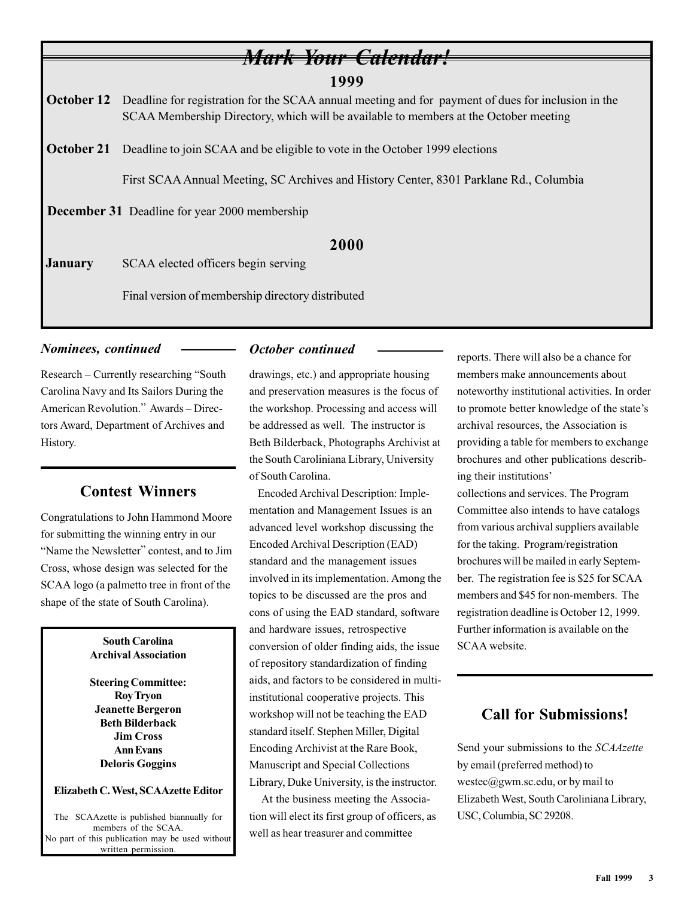### **1999**

*Mark Your Calendar!*

**October 12** Deadline for registration for the SCAA annual meeting and for payment of dues for inclusion in the SCAA Membership Directory, which will be available to members at the October meeting

**October 21** Deadline to join SCAA and be eligible to vote in the October 1999 elections

First SCAA Annual Meeting, SC Archives and History Center, 8301 Parklane Rd., Columbia

 **December 31** Deadline for year 2000 membership

### **2000**

**January** SCAA elected officers begin serving

Final version of membership directory distributed

### *Nominees, continued*

Research – Currently researching "South Carolina Navy and Its Sailors During the American Revolution." Awards – Directors Award, Department of Archives and History.

### **Contest Winners**

Congratulations to John Hammond Moore for submitting the winning entry in our "Name the Newsletter" contest, and to Jim Cross, whose design was selected for the SCAA logo (a palmetto tree in front of the shape of the state of South Carolina).

> **South Carolina Archival Association**

#### **Steering Committee: Roy Tryon Jeanette Bergeron Beth Bilderback Jim Cross Ann Evans Deloris Goggins**

#### **Elizabeth C. West, SCAAzette Editor**

The SCAAzette is published biannually for members of the SCAA. No part of this publication may be used without written permission.

### *October continued*

drawings, etc.) and appropriate housing and preservation measures is the focus of the workshop. Processing and access will be addressed as well. The instructor is Beth Bilderback, Photographs Archivist at the South Caroliniana Library, University of South Carolina.

 Encoded Archival Description: Implementation and Management Issues is an advanced level workshop discussing the Encoded Archival Description (EAD) standard and the management issues involved in its implementation. Among the topics to be discussed are the pros and cons of using the EAD standard, software and hardware issues, retrospective conversion of older finding aids, the issue of repository standardization of finding aids, and factors to be considered in multiinstitutional cooperative projects. This workshop will not be teaching the EAD standard itself. Stephen Miller, Digital Encoding Archivist at the Rare Book, Manuscript and Special Collections Library, Duke University, is the instructor.

 At the business meeting the Association will elect its first group of officers, as well as hear treasurer and committee

reports. There will also be a chance for members make announcements about noteworthy institutional activities. In order to promote better knowledge of the state's archival resources, the Association is providing a table for members to exchange brochures and other publications describing their institutions' collections and services. The Program

Committee also intends to have catalogs from various archival suppliers available for the taking. Program/registration brochures will be mailed in early September. The registration fee is \$25 for SCAA members and \$45 for non-members. The registration deadline is October 12, 1999. Further information is available on the SCAA website.

### **Call for Submissions!**

Send your submissions to the *SCAAzette* by email (preferred method) to westec@gwm.sc.edu, or by mail to Elizabeth West, South Caroliniana Library, USC, Columbia, SC 29208.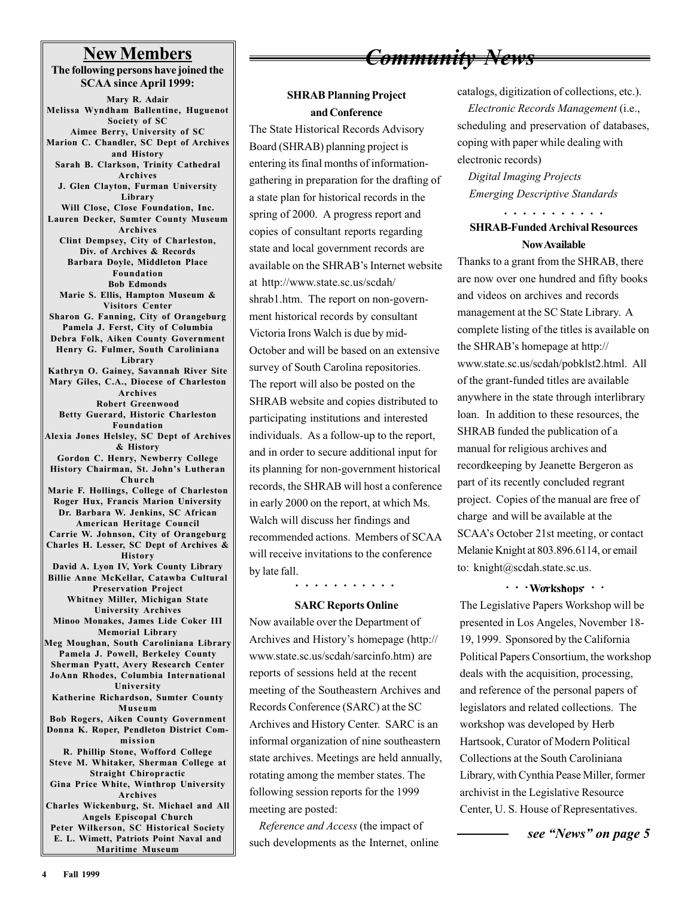### **New Members**

**The following persons have joined the SCAA since April 1999: Mary R. Adair Melissa Wyndham Ballentine, Huguenot Society of SC Aimee Berry, University of SC Marion C. Chandler, SC Dept of Archives and History Sarah B. Clarkson, Trinity Cathedral Archives J. Glen Clayton, Furman University Library Will Close, Close Foundation, Inc. Lauren Decker, Sumter County Museum Archives Clint Dempsey, City of Charleston, Div. of Archives & Records Barbara Doyle, Middleton Place Foundation Bob Edmonds Marie S. Ellis, Hampton Museum & Visitors Center Sharon G. Fanning, City of Orangeburg Pamela J. Ferst, City of Columbia Debra Folk, Aiken County Government Henry G. Fulmer, South Caroliniana Library Kathryn O. Gainey, Savannah River Site Mary Giles, C.A., Diocese of Charleston Archives Robert Greenwood Betty Guerard, Historic Charleston Foundation Alexia Jones Helsley, SC Dept of Archives & History Gordon C. Henry, Newberry College History Chairman, St. John's Lutheran Church Marie F. Hollings, College of Charleston Roger Hux, Francis Marion University Dr. Barbara W. Jenkins, SC African American Heritage Council Carrie W. Johnson, City of Orangeburg Charles H. Lesser, SC Dept of Archives & History David A. Lyon IV, York County Library Billie Anne McKellar, Catawba Cultural Preservation Project Whitney Miller, Michigan State University Archives Minoo Monakes, James Lide Coker III Memorial Library Meg Moughan, South Caroliniana Library Pamela J. Powell, Berkeley County Sherman Pyatt, Avery Research Center JoAnn Rhodes, Columbia International University Katherine Richardson, Sumter County Museum Bob Rogers, Aiken County Government Donna K. Roper, Pendleton District Commission R. Phillip Stone, Wofford College Steve M. Whitaker, Sherman College at Straight Chiropractic Gina Price White, Winthrop University Archives Charles Wickenburg, St. Michael and All Angels Episcopal Church Peter Wilkerson, SC Historical Society E. L. Wimett, Patriots Point Naval and Maritime Museum**

## *Community News*

### **SHRAB Planning Project and Conference**

The State Historical Records Advisory Board (SHRAB) planning project is entering its final months of informationgathering in preparation for the drafting of a state plan for historical records in the spring of 2000. A progress report and copies of consultant reports regarding state and local government records are available on the SHRAB's Internet website at http://www.state.sc.us/scdah/ shrab1.htm. The report on non-government historical records by consultant Victoria Irons Walch is due by mid-October and will be based on an extensive survey of South Carolina repositories. The report will also be posted on the SHRAB website and copies distributed to participating institutions and interested individuals. As a follow-up to the report, and in order to secure additional input for its planning for non-government historical records, the SHRAB will host a conference in early 2000 on the report, at which Ms. Walch will discuss her findings and recommended actions. Members of SCAA will receive invitations to the conference by late fall.

#### **SARC Reports Online**

Now available over the Department of Archives and History's homepage (http:// www.state.sc.us/scdah/sarcinfo.htm) are reports of sessions held at the recent meeting of the Southeastern Archives and Records Conference (SARC) at the SC Archives and History Center. SARC is an informal organization of nine southeastern state archives. Meetings are held annually, rotating among the member states. The following session reports for the 1999 meeting are posted:

 *Reference and Access* (the impact of such developments as the Internet, online catalogs, digitization of collections, etc.). *Electronic Records Management* (i.e., scheduling and preservation of databases, coping with paper while dealing with electronic records)

 *Digital Imaging Projects Emerging Descriptive Standards*

### aaaaaaaaaaa **SHRAB-Funded Archival Resources Now Available**

Thanks to a grant from the SHRAB, there are now over one hundred and fifty books and videos on archives and records management at the SC State Library. A complete listing of the titles is available on the SHRAB's homepage at http:// www.state.sc.us/scdah/pobklst2.html. All of the grant-funded titles are available anywhere in the state through interlibrary loan. In addition to these resources, the SHRAB funded the publication of a manual for religious archives and recordkeeping by Jeanette Bergeron as part of its recently concluded regrant project. Copies of the manual are free of charge and will be available at the SCAA's October 21st meeting, or contact Melanie Knight at 803.896.6114, or email to: knight@scdah.state.sc.us.

### aaaaaaaaaaa aaaaaaaaaaa **Workshops**

The Legislative Papers Workshop will be presented in Los Angeles, November 18- 19, 1999. Sponsored by the California Political Papers Consortium, the workshop deals with the acquisition, processing, and reference of the personal papers of legislators and related collections. The workshop was developed by Herb Hartsook, Curator of Modern Political Collections at the South Caroliniana Library, with Cynthia Pease Miller, former archivist in the Legislative Resource Center, U. S. House of Representatives.

*see "News" on page 5*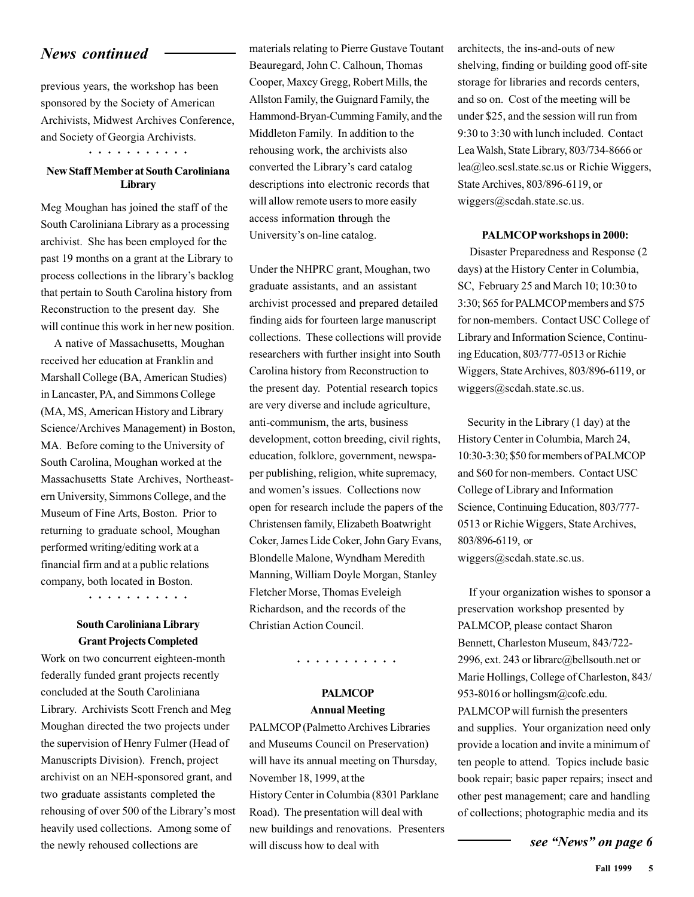### *News continued*

previous years, the workshop has been sponsored by the Society of American Archivists, Midwest Archives Conference, and Society of Georgia Archivists.

aaaaaaaaaaa

### **New Staff Member at South Caroliniana Library**

Meg Moughan has joined the staff of the South Caroliniana Library as a processing archivist. She has been employed for the past 19 months on a grant at the Library to process collections in the library's backlog that pertain to South Carolina history from Reconstruction to the present day. She will continue this work in her new position.

 A native of Massachusetts, Moughan received her education at Franklin and Marshall College (BA, American Studies) in Lancaster, PA, and Simmons College (MA, MS, American History and Library Science/Archives Management) in Boston, MA. Before coming to the University of South Carolina, Moughan worked at the Massachusetts State Archives, Northeastern University, Simmons College, and the Museum of Fine Arts, Boston. Prior to returning to graduate school, Moughan performed writing/editing work at a financial firm and at a public relations company, both located in Boston.

aaaaaaaaaaa

### **South Caroliniana Library Grant Projects Completed**

Work on two concurrent eighteen-month federally funded grant projects recently concluded at the South Caroliniana Library. Archivists Scott French and Meg Moughan directed the two projects under the supervision of Henry Fulmer (Head of Manuscripts Division). French, project archivist on an NEH-sponsored grant, and two graduate assistants completed the rehousing of over 500 of the Library's most heavily used collections. Among some of the newly rehoused collections are

materials relating to Pierre Gustave Toutant Beauregard, John C. Calhoun, Thomas Cooper, Maxcy Gregg, Robert Mills, the Allston Family, the Guignard Family, the Hammond-Bryan-Cumming Family, and the Middleton Family. In addition to the rehousing work, the archivists also converted the Library's card catalog descriptions into electronic records that will allow remote users to more easily access information through the University's on-line catalog.

Under the NHPRC grant, Moughan, two graduate assistants, and an assistant archivist processed and prepared detailed finding aids for fourteen large manuscript collections. These collections will provide researchers with further insight into South Carolina history from Reconstruction to the present day. Potential research topics are very diverse and include agriculture, anti-communism, the arts, business development, cotton breeding, civil rights, education, folklore, government, newspaper publishing, religion, white supremacy, and women's issues. Collections now open for research include the papers of the Christensen family, Elizabeth Boatwright Coker, James Lide Coker, John Gary Evans, Blondelle Malone, Wyndham Meredith Manning, William Doyle Morgan, Stanley Fletcher Morse, Thomas Eveleigh Richardson, and the records of the Christian Action Council.

aaaaaaaaaaa

### **PALMCOP Annual Meeting**

PALMCOP (Palmetto Archives Libraries and Museums Council on Preservation) will have its annual meeting on Thursday, November 18, 1999, at the History Center in Columbia (8301 Parklane Road). The presentation will deal with new buildings and renovations. Presenters will discuss how to deal with

architects, the ins-and-outs of new shelving, finding or building good off-site storage for libraries and records centers, and so on. Cost of the meeting will be under \$25, and the session will run from 9:30 to 3:30 with lunch included. Contact Lea Walsh, State Library, 803/734-8666 or lea@leo.scsl.state.sc.us or Richie Wiggers, State Archives, 803/896-6119, or wiggers@scdah.state.sc.us.

#### **PALMCOP workshops in 2000:**

 Disaster Preparedness and Response (2 days) at the History Center in Columbia, SC, February 25 and March 10; 10:30 to 3:30; \$65 for PALMCOP members and \$75 for non-members. Contact USC College of Library and Information Science, Continuing Education, 803/777-0513 or Richie Wiggers, State Archives, 803/896-6119, or wiggers@scdah.state.sc.us.

 Security in the Library (1 day) at the History Center in Columbia, March 24, 10:30-3:30; \$50 for members of PALMCOP and \$60 for non-members. Contact USC College of Library and Information Science, Continuing Education, 803/777- 0513 or Richie Wiggers, State Archives, 803/896-6119, or wiggers@scdah.state.sc.us.

 If your organization wishes to sponsor a preservation workshop presented by PALMCOP, please contact Sharon Bennett, Charleston Museum, 843/722- 2996, ext. 243 or librarc@bellsouth.net or Marie Hollings, College of Charleston, 843/ 953-8016 or hollingsm@cofc.edu. PALMCOP will furnish the presenters and supplies. Your organization need only provide a location and invite a minimum of ten people to attend. Topics include basic book repair; basic paper repairs; insect and other pest management; care and handling of collections; photographic media and its

*see "News" on page 6*